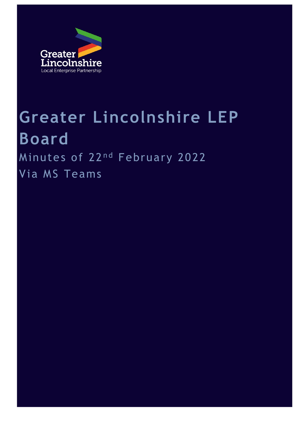

# **Greater Lincolnshire LEP Board** Minutes of 22<sup>nd</sup> February 2022

Via MS Teams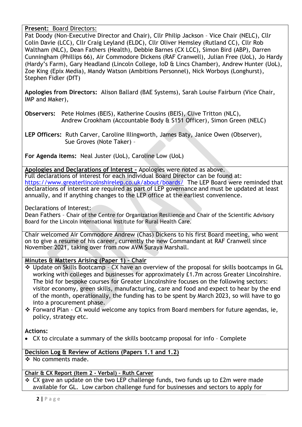**Present:** Board Directors:

Pat Doody (Non-Executive Director and Chair), Cllr Philip Jackson – Vice Chair (NELC), Cllr Colin Davie (LCC), Cllr Craig Leyland (ELDC), Cllr Oliver Hemsley (Rutland CC), Cllr Rob Waltham (NLC), Dean Fathers (Health), Debbie Barnes (CX LCC), Simon Bird (ABP), Darren Cunningham (Phillips 66), Air Commodore Dickens (RAF Cranwell), Julian Free (UoL), Jo Hardy (Hardy's Farm), Gary Headland (Lincoln College, IoD & Lincs Chamber), Andrew Hunter (UoL), Zoe King (Epix Media), Mandy Watson (Ambitions Personnel), Nick Worboys (Longhurst), Stephen Fidler (DfT)

**Apologies from Directors:** Alison Ballard (BAE Systems), Sarah Louise Fairburn (Vice Chair, IMP and Maker),

- **Observers:** Pete Holmes (BEIS), Katherine Cousins (BEIS), Clive Tritton (NLC), Andrew Crookham (Accountable Body & S151 Officer), Simon Green (NELC)
- **LEP Officers:** Ruth Carver, Caroline Illingworth, James Baty, Janice Owen (Observer), Sue Groves (Note Taker) –

**For Agenda items:** Neal Juster (UoL), Caroline Low (UoL)

**Apologies and Declarations of Interest –** Apologies were noted as above. Full declarations of interest for each individual Board Director can be found at: <https://www.greaterlincolnshirelep.co.uk/about/boards/>The LEP Board were reminded that declarations of interest are required as part of LEP governance and must be updated at least annually, and if anything changes to the LEP office at the earliest convenience.

Declarations of Interest:

Dean Fathers – Chair of the Centre for Organization Resilience and Chair of the Scientific Advisory Board for the Lincoln International Institute for Rural Health Care.

Chair welcomed Air Commodore Andrew (Chas) Dickens to his first Board meeting, who went on to give a resume of his career, currently the new Commandant at RAF Cranwell since November 2021, taking over from now AVM Suraya Marshall.

## **Minutes & Matters Arising (Paper 1) – Chair**

- ❖ Update on Skills Bootcamp CX have an overview of the proposal for skills bootcamps in GL working with colleges and businesses for approximately £1.7m across Greater Lincolnshire. The bid for bespoke courses for Greater Lincolnshire focuses on the following sectors: visitor economy, green skills, manufacturing, care and food and expect to hear by the end of the month, operationally, the funding has to be spent by March 2023, so will have to go into a procurement phase.
- ❖ Forward Plan CX would welcome any topics from Board members for future agendas, ie, policy, strategy etc.

#### **Actions:**

• CX to circulate a summary of the skills bootcamp proposal for info – Complete

## **Decision Log & Review of Actions (Papers 1.1 and 1.2)**

❖ No comments made.

#### **Chair & CX Report (Item 2 - Verbal) – Ruth Carver**

❖ CX gave an update on the two LEP challenge funds, two funds up to £2m were made available for GL. Low carbon challenge fund for businesses and sectors to apply for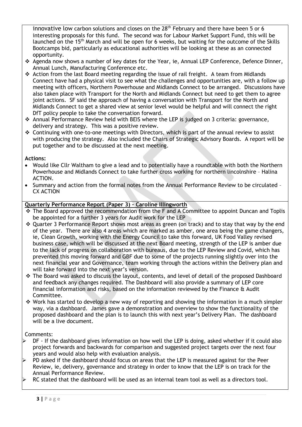innovative low carbon solutions and closes on the  $28<sup>th</sup>$  February and there have been 5 or 6 interesting proposals for this fund. The second was for Labour Market Support Fund, this will be launched on the 15<sup>th</sup> March and will be open for 6 weeks, but waiting for the outcome of the Skills Bootcamps bid, particularly as educational authorities will be looking at these as an connected opportunity.

- ❖ Agenda now shows a number of key dates for the Year, ie, Annual LEP Conference, Defence Dinner, Annual Lunch, Manufacturing Conference etc.
- ❖ Action from the last Board meeting regarding the issue of rail freight. A team from Midlands Connect have had a physical visit to see what the challenges and opportunities are, with a follow up meeting with officers, Northern Powerhouse and Midlands Connect to be arranged. Discussions have also taken place with Transport for the North and Midlands Connect but need to get them to agree joint actions. SF said the approach of having a conversation with Transport for the North and Midlands Connect to get a shared view at senior level would be helpful and will connect the right DfT policy people to take the conversation forward.
- ❖ Annual Performance Review held with BEIS where the LEP is judged on 3 criteria: governance, delivery and strategy. This was a positive review.
- ❖ Continuing with one-to-one meetings with Directors, which is part of the annual review to assist with producing the strategy. Also included the Chairs of Strategic Advisory Boards. A report will be put together and to be discussed at the next meeting.

#### **Actions:**

- Would like Cllr Waltham to give a lead and to potentially have a roundtable with both the Northern Powerhouse and Midlands Connect to take further cross working for northern lincolnshire – Halina ACTION.
- Summary and action from the formal notes from the Annual Performance Review to be circulated CX ACTION

#### **Quarterly Performance Report (Paper 3) – Caroline Illingworth**

- $\cdot \cdot$  The Board approved the recommendation from the F and A Committee to appoint Duncan and Toplis be appointed for a further 3 years for Audit work for the LEP
- ❖ Quarter 3 Performance Report shows most areas as green (on track) and to stay that way by the end of the year. There are also 4 areas which are marked as amber, one area being the game changers, ie, Clean Growth, working with the Energy Council to take this forward, UK Food Valley revised business case, which will be discussed at the next Board meeting, strength of the LEP is amber due to the lack of progress on collaboration with bureaus, due to the LEP Review and Covid, which has prevented this moving forward and GBF due to some of the projects running slightly over into the next financial year and Governance, team working through the actions within the Delivery plan and will take forward into the next year's version.
- ❖ The Board was asked to discuss the layout, contents, and level of detail of the proposed Dashboard and feedback any changes required. The Dashboard will also provide a summary of LEP core financial information and risks, based on the information reviewed by the Finance & Audit Committee.
- ❖ Work has started to develop a new way of reporting and showing the information in a much simpler way, via a dashboard. James gave a demonstration and overview to show the functionality of the proposed dashboard and the plan is to launch this with next year's Delivery Plan. The dashboard will be a live document.

#### Comments:

- DF If the dashboard gives information on how well the LEP is doing, asked whether if it could also project forwards and backwards for comparison and suggested project targets over the next four years and would also help with evaluation analysis.
- PD asked if the dashboard should focus on areas that the LEP is measured against for the Peer Review, ie, delivery, governance and strategy in order to know that the LEP is on track for the Annual Performance Review.
- RC stated that the dashboard will be used as an internal team tool as well as a directors tool.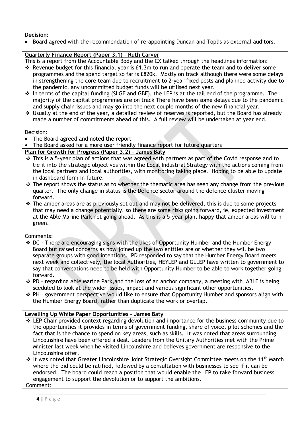#### **Decision:**

• Board agreed with the recommendation of re-appointing Duncan and Toplis as external auditors.

#### **Quarterly Finance Report (Paper 3.1) – Ruth Carver**

This is a report from the Accountable Body and the CX talked through the headlines information:

- ❖ Revenue budget for this financial year is £1.3m to run and operate the team and to deliver some programmes and the spend target so far is £820k. Mostly on track although there were some delays in strengthening the core team due to recruitment to 2-year fixed posts and planned activity due to the pandemic, any uncommitted budget funds will be utilised next year.
- ❖ In terms of the capital funding (SLGF and GBF), the LEP is at the tail end of the programme. The majority of the capital programmes are on track There have been some delays due to the pandemic and supply chain issues and may go into the next couple months of the new financial year.
- ❖ Usually at the end of the year, a detailed review of reserves is reported, but the Board has already made a number of commitments ahead of this. A full review will be undertaken at year end.

Decision:

- The Board agreed and noted the report
- The Board asked for a more user friendly finance report for future quarters

#### **Plan for Growth for Progress (Paper 3.2) – James Baty**

- ❖ This is a 5-year plan of actions that was agreed with partners as part of the Covid response and to tie it into the strategic objectives within the Local Industrial Strategy with the actions coming from the local partners and local authorities, with monitoring taking place. Hoping to be able to update in dashboard form in future.
- ❖ The report shows the status as to whether the thematic area has seen any change from the previous quarter. The only change in status is the Defence sector around the defence cluster moving forward.
- ❖ The amber areas are as previously set out and may not be delivered, this is due to some projects that may need a change potentially, so there are some risks going forward, ie, expected investment at the Able Marine Park not going ahead. As this is a 5-year plan, happy that amber areas will turn green.

Comments:

- ❖ DC There are encouraging signs with the likes of Opportunity Humber and the Humber Energy Board but raised concerns as how joined up the two entities are or whether they will be two separate groups with good intentions. PD responded to say that the Humber Energy Board meets next week and collectively, the local Authorities, HEYLEP and GLLEP have written to government to say that conversations need to be held with Opportunity Humber to be able to work together going forward.
- ❖ PD regarding Able Marine Park,and the loss of an anchor company, a meeting with ABLE is being sceduled to look at the wider issues, impact and various significant other opportunities.
- ❖ PH government perspective would like to ensure that Opportunity Humber and sponsors align with the Humber Energy Board, rather than duplicate the work or overlap.

#### **Levelling Up White Paper Opportunities – James Baty**

- ❖ LEP Chair provided context regarding devolution and importance for the business community due to the opportunities it provides in terms of government funding, share of voice, pilot schemes and the fact that is the chance to spend on key areas, such as skills. It was noted that areas surrounding Lincolnshire have been offered a deal. Leaders from the Unitary Authorities met with the Prime Minister last week when he visited Lincolnshire and believes government are responsive to the Lincolnshire offer.
- ❖ It was noted that Greater Lincolnshire Joint Strategic Oversight Committee meets on the 11th March where the bid could be ratified, followed by a consultation with businesses to see if it can be endorsed. The board could reach a position that would enable the LEP to take forward business engagement to support the devolution or to support the ambitions. Comment: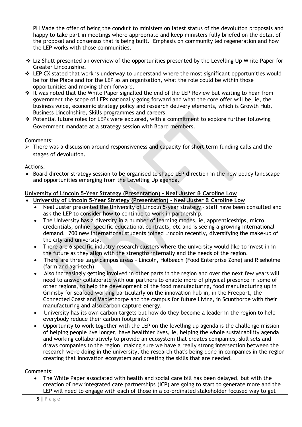PH Made the offer of being the conduit to ministers on latest status of the devolution proposals and happy to take part in meetings where appropriate and keep ministers fully briefed on the detail of the proposal and consensus that is being built. Emphasis on community led regeneration and how the LEP works with those communities.

- ❖ Liz Shutt presented an overview of the opportunities presented by the Levelling Up White Paper for Greater Lincolnshire.
- ❖ LEP CX stated that work is underway to understand where the most significant opportunities would be for the Place and for the LEP as an organisation, what the role could be within those opportunities and moving them forward.
- ❖ It was noted that the White Paper signalled the end of the LEP Review but waiting to hear from government the scope of LEPs nationally going forward and what the core offer will be, ie, the business voice, economic strategy policy and research delivery elements, which is Growth Hub, Business Lincolnshire, Skills programmes and careers.
- ❖ Potential future roles for LEPs were explored, with a commitment to explore further following Government mandate at a strategy session with Board members.

Comments:

➢ There was a discussion around responsiveness and capacity for short term funding calls and the stages of devolution.

Actions:

• Board director strategy session to be organised to shape LEP direction in the new policy landscape and opportunities emerging from the Levelling Up agenda.

# **University of Lincoln 5-Year Strategy (Presentation) – Neal Juster & Caroline Low**

#### • **University of Lincoln 5-Year Strategy (Presentation) – Neal Juster & Caroline Low**

- Neal Juster presented the University of Lincoln 5-year strategy staff have been consulted and ask the LEP to consider how to continue to work in partnership.
- The University has a diversity in a number of learning modes, ie, apprenticeships, micro credentials, online, specific educational contracts, etc and is seeing a growing international demand. 700 new international students joined Lincoln recently, diversifying the make-up of the city and university.
- There are 6 specific industry research clusters where the university would like to invest in in the future as they align with the strengths internally and the needs of the region.
- There are three large campus areas Lincoln, Holbeach (Food Enterprise Zone) and Riseholme (farm and agri-tech).
- Also increasingly getting involved in other parts in the region and over the next few years will need to answer collaborate with our partners to enable more of physical presence in some of other regions, to help the development of the food manufacturing, food manufacturing up in Grimsby for seafood working particularly on the innovation hub in, in the Freeport, the Connected Coast and Mablethorpe and the campus for future Living, in Scunthorpe with their manufacturing and also carbon capture energy.
- University has its own carbon targets but how do they become a leader in the region to help everybody reduce their carbon footprints?
- Opportunity to work together with the LEP on the levelling up agenda is the challenge mission of helping people live longer, have healthier lives, ie, helping the whole sustainability agenda and working collaboratively to provide an ecosystem that creates companies, skill sets and draws companies to the region, making sure we have a really strong intersection between the research we're doing in the university, the research that's being done in companies in the region creating that innovation ecosystem and creating the skills that are needed.

Comments:

• The White Paper associated with health and social care bill has been delayed, but with the creation of new integrated care partnerships (ICP) are going to start to generate more and the LEP will need to engage with each of those in a co-ordinated stakeholder focused way to get